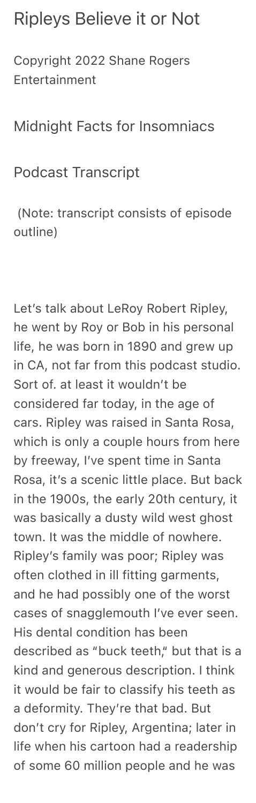## Ripleys Believe it or Not

Copyright 2022 Shane Rogers Entertainment

## Midnight Facts for Insomniacs

Podcast Transcript

 (Note: transcript consists of episode outline)

Let's talk about LeRoy Robert Ripley, he went by Roy or Bob in his personal life, he was born in 1890 and grew up in CA, not far from this podcast studio. Sort of. at least it wouldn't be considered far today, in the age of cars. Ripley was raised in Santa Rosa, which is only a couple hours from here by freeway, I've spent time in Santa Rosa, it's a scenic little place. But back in the 1900s, the early 20th century, it was basically a dusty wild west ghost town. It was the middle of nowhere. Ripley's family was poor; Ripley was often clothed in ill fitting garments, and he had possibly one of the worst cases of snagglemouth I've ever seen. His dental condition has been described as "buck teeth," but that is a kind and generous description. I think it would be fair to classify his teeth as a deformity. They're that bad. But don't cry for Ripley, Argentina; later in life when his cartoon had a readership of some 60 million people and he was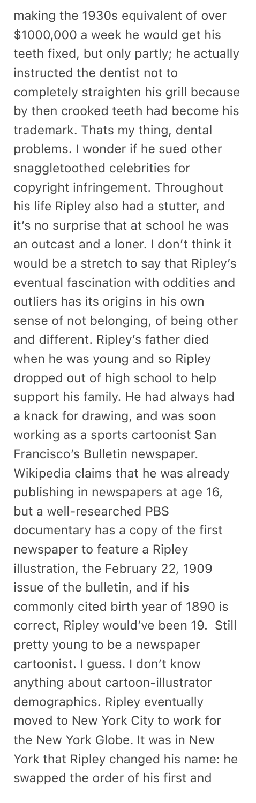making the 1930s equivalent of over \$1000,000 a week he would get his teeth fixed, but only partly; he actually instructed the dentist not to completely straighten his grill because by then crooked teeth had become his trademark. Thats my thing, dental problems. I wonder if he sued other snaggletoothed celebrities for copyright infringement. Throughout his life Ripley also had a stutter, and it's no surprise that at school he was an outcast and a loner. I don't think it would be a stretch to say that Ripley's eventual fascination with oddities and outliers has its origins in his own sense of not belonging, of being other and different. Ripley's father died when he was young and so Ripley dropped out of high school to help support his family. He had always had a knack for drawing, and was soon working as a sports cartoonist San Francisco's Bulletin newspaper. Wikipedia claims that he was already publishing in newspapers at age 16, but a well-researched PBS documentary has a copy of the first newspaper to feature a Ripley illustration, the February 22, 1909 issue of the bulletin, and if his commonly cited birth year of 1890 is correct, Ripley would've been 19. Still pretty young to be a newspaper cartoonist. I guess. I don't know anything about cartoon-illustrator demographics. Ripley eventually moved to New York City to work for the New York Globe. It was in New York that Ripley changed his name: he swapped the order of his first and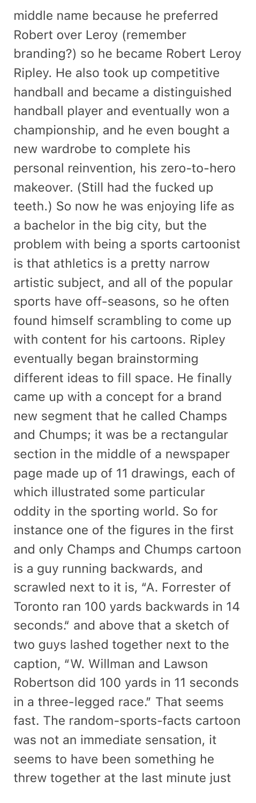middle name because he preferred Robert over Leroy (remember branding?) so he became Robert Leroy Ripley. He also took up competitive handball and became a distinguished handball player and eventually won a championship, and he even bought a new wardrobe to complete his personal reinvention, his zero-to-hero makeover. (Still had the fucked up teeth.) So now he was enjoying life as a bachelor in the big city, but the problem with being a sports cartoonist is that athletics is a pretty narrow artistic subject, and all of the popular sports have off-seasons, so he often found himself scrambling to come up with content for his cartoons. Ripley eventually began brainstorming different ideas to fill space. He finally came up with a concept for a brand new segment that he called Champs and Chumps; it was be a rectangular section in the middle of a newspaper page made up of 11 drawings, each of which illustrated some particular oddity in the sporting world. So for instance one of the figures in the first and only Champs and Chumps cartoon is a guy running backwards, and scrawled next to it is, "A. Forrester of Toronto ran 100 yards backwards in 14 seconds." and above that a sketch of two guys lashed together next to the caption, "W. Willman and Lawson Robertson did 100 yards in 11 seconds in a three-legged race." That seems fast. The random-sports-facts cartoon was not an immediate sensation, it seems to have been something he threw together at the last minute just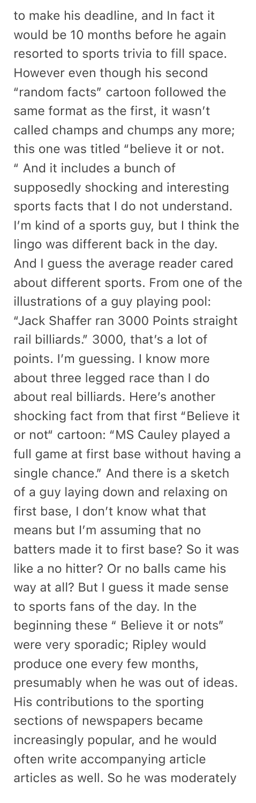to make his deadline, and In fact it would be 10 months before he again resorted to sports trivia to fill space. However even though his second "random facts" cartoon followed the same format as the first, it wasn't called champs and chumps any more; this one was titled "believe it or not. " And it includes a bunch of supposedly shocking and interesting sports facts that I do not understand. I'm kind of a sports guy, but I think the lingo was different back in the day. And I guess the average reader cared about different sports. From one of the illustrations of a guy playing pool: "Jack Shaffer ran 3000 Points straight rail billiards." 3000, that's a lot of points. I'm guessing. I know more about three legged race than I do about real billiards. Here's another shocking fact from that first "Believe it or not" cartoon: "MS Cauley played a full game at first base without having a single chance." And there is a sketch of a guy laying down and relaxing on first base, I don't know what that means but I'm assuming that no batters made it to first base? So it was like a no hitter? Or no balls came his way at all? But I guess it made sense to sports fans of the day. In the beginning these " Believe it or nots" were very sporadic; Ripley would produce one every few months, presumably when he was out of ideas. His contributions to the sporting sections of newspapers became increasingly popular, and he would often write accompanying article articles as well. So he was moderately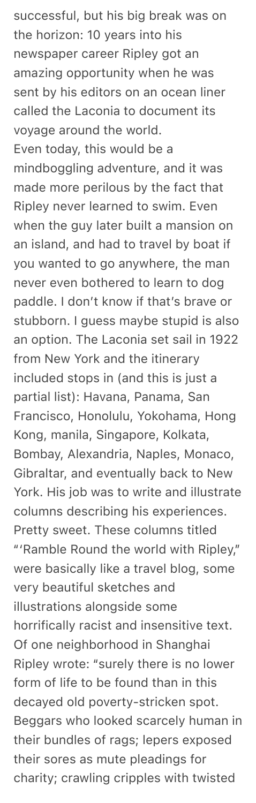successful, but his big break was on the horizon: 10 years into his newspaper career Ripley got an amazing opportunity when he was sent by his editors on an ocean liner called the Laconia to document its voyage around the world. Even today, this would be a mindboggling adventure, and it was made more perilous by the fact that Ripley never learned to swim. Even when the guy later built a mansion on an island, and had to travel by boat if you wanted to go anywhere, the man never even bothered to learn to dog paddle. I don't know if that's brave or stubborn. I guess maybe stupid is also an option. The Laconia set sail in 1922 from New York and the itinerary included stops in (and this is just a partial list): Havana, Panama, San Francisco, Honolulu, Yokohama, Hong Kong, manila, Singapore, Kolkata, Bombay, Alexandria, Naples, Monaco, Gibraltar, and eventually back to New York. His job was to write and illustrate columns describing his experiences. Pretty sweet. These columns titled "'Ramble Round the world with Ripley," were basically like a travel blog, some very beautiful sketches and illustrations alongside some horrifically racist and insensitive text. Of one neighborhood in Shanghai Ripley wrote: "surely there is no lower form of life to be found than in this decayed old poverty-stricken spot. Beggars who looked scarcely human in their bundles of rags; lepers exposed their sores as mute pleadings for charity; crawling cripples with twisted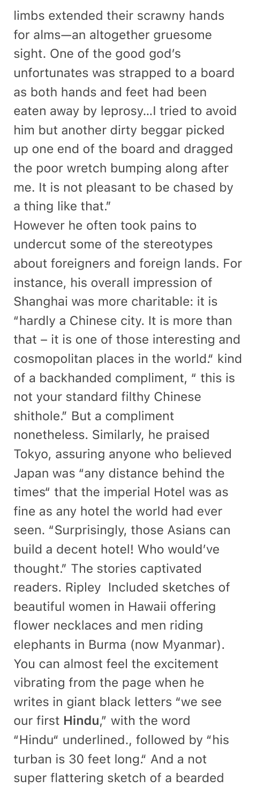limbs extended their scrawny hands for alms—an altogether gruesome sight. One of the good god's unfortunates was strapped to a board as both hands and feet had been eaten away by leprosy…I tried to avoid him but another dirty beggar picked up one end of the board and dragged the poor wretch bumping along after me. It is not pleasant to be chased by a thing like that."

However he often took pains to undercut some of the stereotypes about foreigners and foreign lands. For instance, his overall impression of Shanghai was more charitable: it is "hardly a Chinese city. It is more than that – it is one of those interesting and cosmopolitan places in the world." kind of a backhanded compliment, " this is not your standard filthy Chinese shithole." But a compliment nonetheless. Similarly, he praised Tokyo, assuring anyone who believed Japan was "any distance behind the times" that the imperial Hotel was as fine as any hotel the world had ever seen. "Surprisingly, those Asians can build a decent hotel! Who would've thought." The stories captivated readers. Ripley Included sketches of beautiful women in Hawaii offering flower necklaces and men riding elephants in Burma (now Myanmar). You can almost feel the excitement vibrating from the page when he writes in giant black letters "we see our first Hindu," with the word "Hindu" underlined., followed by "his turban is 30 feet long." And a not super flattering sketch of a bearded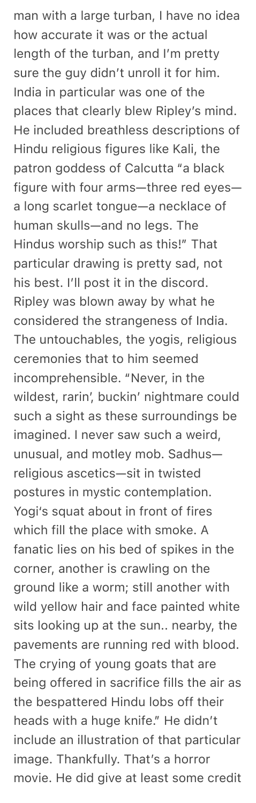man with a large turban, I have no idea how accurate it was or the actual length of the turban, and I'm pretty sure the guy didn't unroll it for him. India in particular was one of the places that clearly blew Ripley's mind. He included breathless descriptions of Hindu religious figures like Kali, the patron goddess of Calcutta "a black figure with four arms—three red eyes a long scarlet tongue—a necklace of human skulls—and no legs. The Hindus worship such as this!" That particular drawing is pretty sad, not his best. I'll post it in the discord. Ripley was blown away by what he considered the strangeness of India. The untouchables, the yogis, religious ceremonies that to him seemed incomprehensible. "Never, in the wildest, rarin', buckin' nightmare could such a sight as these surroundings be imagined. I never saw such a weird, unusual, and motley mob. Sadhus religious ascetics—sit in twisted postures in mystic contemplation. Yogi's squat about in front of fires which fill the place with smoke. A fanatic lies on his bed of spikes in the corner, another is crawling on the ground like a worm; still another with wild yellow hair and face painted white sits looking up at the sun.. nearby, the pavements are running red with blood. The crying of young goats that are being offered in sacrifice fills the air as the bespattered Hindu lobs off their heads with a huge knife." He didn't include an illustration of that particular image. Thankfully. That's a horror movie. He did give at least some credit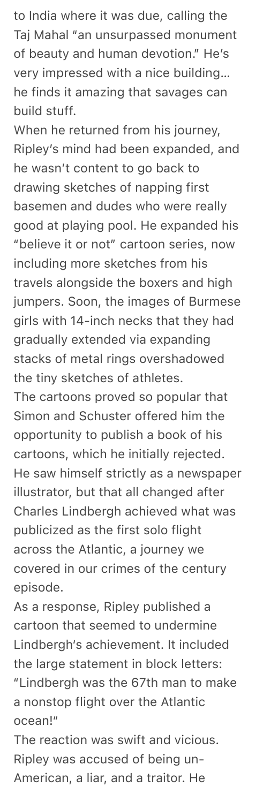to India where it was due, calling the Taj Mahal "an unsurpassed monument of beauty and human devotion." He's very impressed with a nice building… he finds it amazing that savages can build stuff.

When he returned from his journey, Ripley's mind had been expanded, and he wasn't content to go back to drawing sketches of napping first basemen and dudes who were really good at playing pool. He expanded his "believe it or not" cartoon series, now including more sketches from his travels alongside the boxers and high jumpers. Soon, the images of Burmese girls with 14-inch necks that they had gradually extended via expanding stacks of metal rings overshadowed the tiny sketches of athletes.

The cartoons proved so popular that Simon and Schuster offered him the opportunity to publish a book of his cartoons, which he initially rejected. He saw himself strictly as a newspaper illustrator, but that all changed after Charles Lindbergh achieved what was publicized as the first solo flight across the Atlantic, a journey we covered in our crimes of the century episode.

As a response, Ripley published a cartoon that seemed to undermine Lindbergh's achievement. It included the large statement in block letters: "Lindbergh was the 67th man to make a nonstop flight over the Atlantic ocean!"

The reaction was swift and vicious. Ripley was accused of being un-American, a liar, and a traitor. He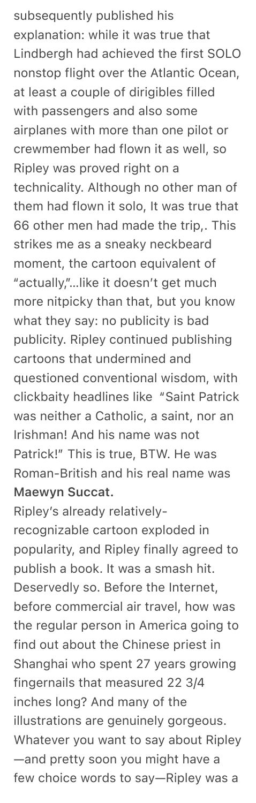subsequently published his explanation: while it was true that Lindbergh had achieved the first SOLO nonstop flight over the Atlantic Ocean, at least a couple of dirigibles filled with passengers and also some airplanes with more than one pilot or crewmember had flown it as well, so Ripley was proved right on a technicality. Although no other man of them had flown it solo, It was true that 66 other men had made the trip,. This strikes me as a sneaky neckbeard moment, the cartoon equivalent of "actually,"…like it doesn't get much more nitpicky than that, but you know what they say: no publicity is bad publicity. Ripley continued publishing cartoons that undermined and questioned conventional wisdom, with clickbaity headlines like "Saint Patrick was neither a Catholic, a saint, nor an Irishman! And his name was not Patrick!" This is true, BTW. He was Roman-British and his real name was Maewyn Succat.

Ripley's already relativelyrecognizable cartoon exploded in popularity, and Ripley finally agreed to publish a book. It was a smash hit. Deservedly so. Before the Internet, before commercial air travel, how was the regular person in America going to find out about the Chinese priest in Shanghai who spent 27 years growing fingernails that measured 22 3/4 inches long? And many of the illustrations are genuinely gorgeous. Whatever you want to say about Ripley —and pretty soon you might have a few choice words to say—Ripley was a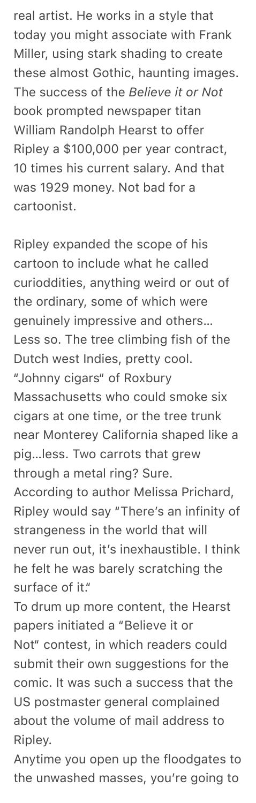real artist. He works in a style that today you might associate with Frank Miller, using stark shading to create these almost Gothic, haunting images. The success of the *Believe it or Not*  book prompted newspaper titan William Randolph Hearst to offer Ripley a \$100,000 per year contract, 10 times his current salary. And that was 1929 money. Not bad for a cartoonist.

Ripley expanded the scope of his cartoon to include what he called curioddities, anything weird or out of the ordinary, some of which were genuinely impressive and others… Less so. The tree climbing fish of the Dutch west Indies, pretty cool. "Johnny cigars" of Roxbury Massachusetts who could smoke six cigars at one time, or the tree trunk near Monterey California shaped like a pig…less. Two carrots that grew through a metal ring? Sure. According to author Melissa Prichard, Ripley would say "There's an infinity of strangeness in the world that will never run out, it's inexhaustible. I think he felt he was barely scratching the surface of it." To drum up more content, the Hearst papers initiated a "Believe it or Not" contest, in which readers could submit their own suggestions for the comic. It was such a success that the US postmaster general complained

about the volume of mail address to Ripley.

Anytime you open up the floodgates to the unwashed masses, you're going to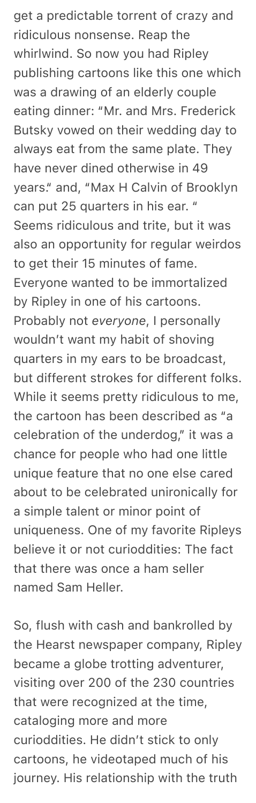get a predictable torrent of crazy and ridiculous nonsense. Reap the whirlwind. So now you had Ripley publishing cartoons like this one which was a drawing of an elderly couple eating dinner: "Mr. and Mrs. Frederick Butsky vowed on their wedding day to always eat from the same plate. They have never dined otherwise in 49 years." and, "Max H Calvin of Brooklyn can put 25 quarters in his ear. " Seems ridiculous and trite, but it was also an opportunity for regular weirdos to get their 15 minutes of fame. Everyone wanted to be immortalized by Ripley in one of his cartoons. Probably not *everyone*, I personally wouldn't want my habit of shoving quarters in my ears to be broadcast, but different strokes for different folks. While it seems pretty ridiculous to me, the cartoon has been described as "a celebration of the underdog," it was a chance for people who had one little unique feature that no one else cared about to be celebrated unironically for a simple talent or minor point of uniqueness. One of my favorite Ripleys believe it or not curioddities: The fact that there was once a ham seller named Sam Heller.

So, flush with cash and bankrolled by the Hearst newspaper company, Ripley became a globe trotting adventurer, visiting over 200 of the 230 countries that were recognized at the time, cataloging more and more curioddities. He didn't stick to only cartoons, he videotaped much of his journey. His relationship with the truth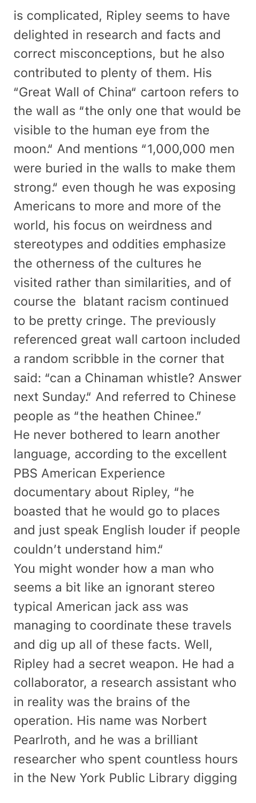is complicated, Ripley seems to have delighted in research and facts and correct misconceptions, but he also contributed to plenty of them. His "Great Wall of China" cartoon refers to the wall as "the only one that would be visible to the human eye from the moon." And mentions "1,000,000 men were buried in the walls to make them strong." even though he was exposing Americans to more and more of the world, his focus on weirdness and stereotypes and oddities emphasize the otherness of the cultures he visited rather than similarities, and of course the blatant racism continued to be pretty cringe. The previously referenced great wall cartoon included a random scribble in the corner that said: "can a Chinaman whistle? Answer next Sunday." And referred to Chinese people as "the heathen Chinee." He never bothered to learn another language, according to the excellent PBS American Experience documentary about Ripley, "he boasted that he would go to places and just speak English louder if people couldn't understand him." You might wonder how a man who seems a bit like an ignorant stereo typical American jack ass was managing to coordinate these travels and dig up all of these facts. Well, Ripley had a secret weapon. He had a collaborator, a research assistant who in reality was the brains of the operation. His name was Norbert Pearlroth, and he was a brilliant researcher who spent countless hours in the New York Public Library digging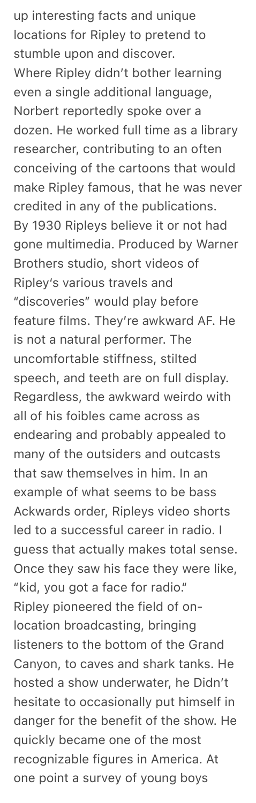up interesting facts and unique locations for Ripley to pretend to stumble upon and discover. Where Ripley didn't bother learning even a single additional language, Norbert reportedly spoke over a dozen. He worked full time as a library researcher, contributing to an often conceiving of the cartoons that would make Ripley famous, that he was never credited in any of the publications. By 1930 Ripleys believe it or not had gone multimedia. Produced by Warner Brothers studio, short videos of Ripley's various travels and "discoveries" would play before feature films. They're awkward AF. He is not a natural performer. The uncomfortable stiffness, stilted speech, and teeth are on full display. Regardless, the awkward weirdo with all of his foibles came across as endearing and probably appealed to many of the outsiders and outcasts that saw themselves in him. In an example of what seems to be bass Ackwards order, Ripleys video shorts led to a successful career in radio. I guess that actually makes total sense. Once they saw his face they were like, "kid, you got a face for radio." Ripley pioneered the field of onlocation broadcasting, bringing listeners to the bottom of the Grand Canyon, to caves and shark tanks. He hosted a show underwater, he Didn't hesitate to occasionally put himself in danger for the benefit of the show. He quickly became one of the most recognizable figures in America. At one point a survey of young boys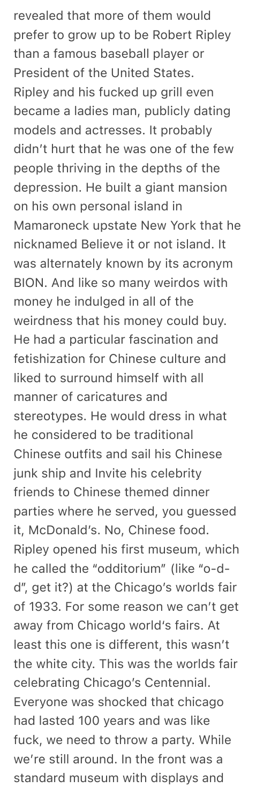revealed that more of them would prefer to grow up to be Robert Ripley than a famous baseball player or President of the United States. Ripley and his fucked up grill even became a ladies man, publicly dating models and actresses. It probably didn't hurt that he was one of the few people thriving in the depths of the depression. He built a giant mansion on his own personal island in Mamaroneck upstate New York that he nicknamed Believe it or not island. It was alternately known by its acronym BION. And like so many weirdos with money he indulged in all of the weirdness that his money could buy. He had a particular fascination and fetishization for Chinese culture and liked to surround himself with all manner of caricatures and stereotypes. He would dress in what he considered to be traditional Chinese outfits and sail his Chinese junk ship and Invite his celebrity friends to Chinese themed dinner parties where he served, you guessed it, McDonald's. No, Chinese food. Ripley opened his first museum, which he called the "odditorium" (like "o-dd", get it?) at the Chicago's worlds fair of 1933. For some reason we can't get away from Chicago world's fairs. At least this one is different, this wasn't the white city. This was the worlds fair celebrating Chicago's Centennial. Everyone was shocked that chicago had lasted 100 years and was like fuck, we need to throw a party. While we're still around. In the front was a standard museum with displays and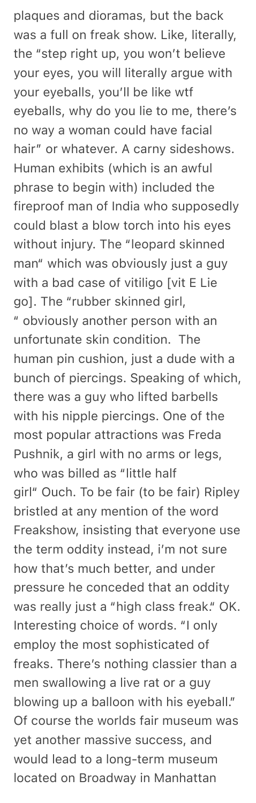plaques and dioramas, but the back was a full on freak show. Like, literally, the "step right up, you won't believe your eyes, you will literally argue with your eyeballs, you'll be like wtf eyeballs, why do you lie to me, there's no way a woman could have facial hair" or whatever. A carny sideshows. Human exhibits (which is an awful phrase to begin with) included the fireproof man of India who supposedly could blast a blow torch into his eyes without injury. The "leopard skinned man" which was obviously just a guy with a bad case of vitiligo [vit E Lie go]. The "rubber skinned girl, " obviously another person with an unfortunate skin condition. The human pin cushion, just a dude with a bunch of piercings. Speaking of which, there was a guy who lifted barbells with his nipple piercings. One of the most popular attractions was Freda Pushnik, a girl with no arms or legs, who was billed as "little half girl" Ouch. To be fair (to be fair) Ripley bristled at any mention of the word Freakshow, insisting that everyone use the term oddity instead, i'm not sure how that's much better, and under pressure he conceded that an oddity was really just a "high class freak." OK. Interesting choice of words. "I only employ the most sophisticated of freaks. There's nothing classier than a men swallowing a live rat or a guy blowing up a balloon with his eyeball." Of course the worlds fair museum was yet another massive success, and would lead to a long-term museum located on Broadway in Manhattan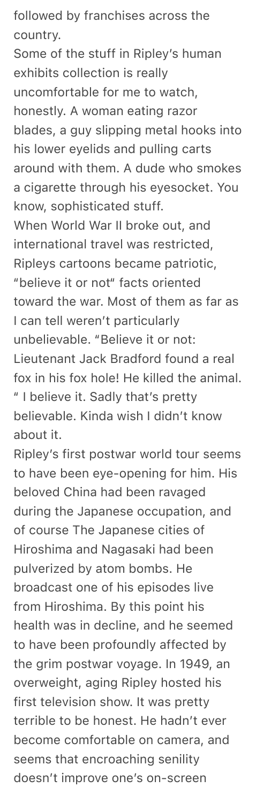followed by franchises across the country.

Some of the stuff in Ripley's human exhibits collection is really uncomfortable for me to watch, honestly. A woman eating razor blades, a guy slipping metal hooks into his lower eyelids and pulling carts around with them. A dude who smokes a cigarette through his eyesocket. You know, sophisticated stuff.

When World War II broke out, and international travel was restricted, Ripleys cartoons became patriotic, "believe it or not" facts oriented toward the war. Most of them as far as I can tell weren't particularly unbelievable. "Believe it or not: Lieutenant Jack Bradford found a real fox in his fox hole! He killed the animal. " I believe it. Sadly that's pretty believable. Kinda wish I didn't know about it.

Ripley's first postwar world tour seems to have been eye-opening for him. His beloved China had been ravaged during the Japanese occupation, and of course The Japanese cities of Hiroshima and Nagasaki had been pulverized by atom bombs. He broadcast one of his episodes live from Hiroshima. By this point his health was in decline, and he seemed to have been profoundly affected by the grim postwar voyage. In 1949, an overweight, aging Ripley hosted his first television show. It was pretty terrible to be honest. He hadn't ever become comfortable on camera, and seems that encroaching senility doesn't improve one's on-screen